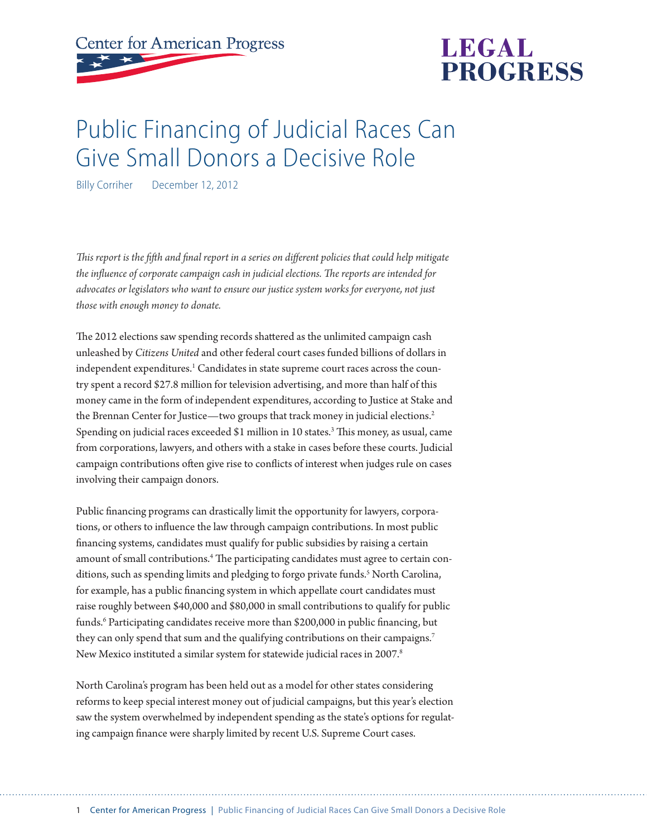**Center for American Progress** 



# Public Financing of Judicial Races Can Give Small Donors a Decisive Role

Billy Corriher December 12, 2012

*This report is the fifth and final report in a series on different policies that could help mitigate the influence of corporate campaign cash in judicial elections. The reports are intended for advocates or legislators who want to ensure our justice system works for everyone, not just those with enough money to donate.*

The 2012 elections saw spending records shattered as the unlimited campaign cash unleashed by *Citizens United* and other federal court cases funded billions of dollars in independent expenditures. $^1$  Candidates in state supreme court races across the country spent a record \$27.8 million for television advertising, and more than half of this money came in the form of independent expenditures, according to Justice at Stake and the Brennan Center for Justice—two groups that track money in judicial elections.<sup>2</sup> Spending on judicial races exceeded \$1 million in 10 states.<sup>3</sup> This money, as usual, came from corporations, lawyers, and others with a stake in cases before these courts. Judicial campaign contributions often give rise to conflicts of interest when judges rule on cases involving their campaign donors.

Public financing programs can drastically limit the opportunity for lawyers, corporations, or others to influence the law through campaign contributions. In most public financing systems, candidates must qualify for public subsidies by raising a certain amount of small contributions.<sup>4</sup> The participating candidates must agree to certain conditions, such as spending limits and pledging to forgo private funds.<sup>5</sup> North Carolina, for example, has a public financing system in which appellate court candidates must raise roughly between \$40,000 and \$80,000 in small contributions to qualify for public funds.6 Participating candidates receive more than \$200,000 in public financing, but they can only spend that sum and the qualifying contributions on their campaigns.<sup>7</sup> New Mexico instituted a similar system for statewide judicial races in 2007.<sup>8</sup>

North Carolina's program has been held out as a model for other states considering reforms to keep special interest money out of judicial campaigns, but this year's election saw the system overwhelmed by independent spending as the state's options for regulating campaign finance were sharply limited by recent U.S. Supreme Court cases.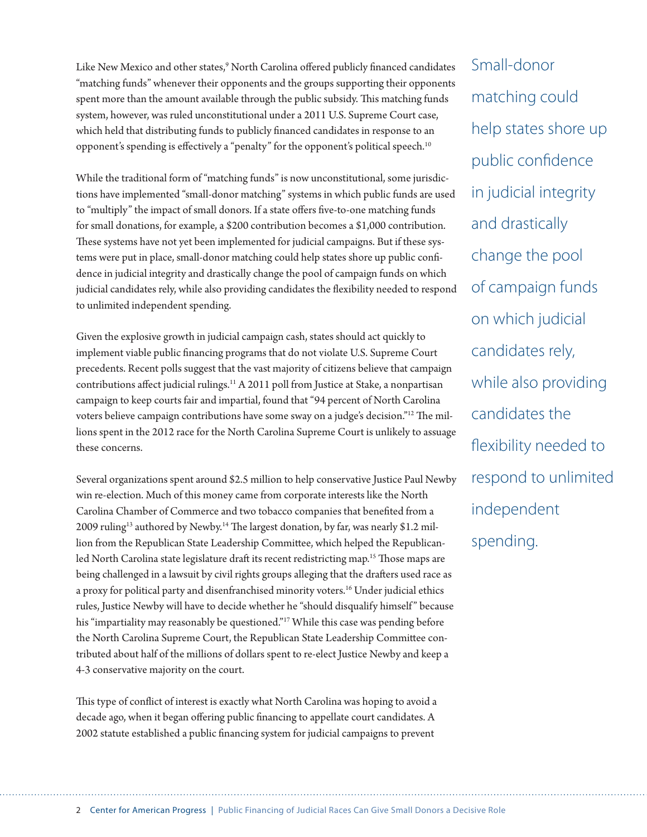Like New Mexico and other states,<sup>9</sup> North Carolina offered publicly financed candidates "matching funds" whenever their opponents and the groups supporting their opponents spent more than the amount available through the public subsidy. This matching funds system, however, was ruled unconstitutional under a 2011 U.S. Supreme Court case, which held that distributing funds to publicly financed candidates in response to an opponent's spending is effectively a "penalty" for the opponent's political speech.10

While the traditional form of "matching funds" is now unconstitutional, some jurisdictions have implemented "small-donor matching" systems in which public funds are used to "multiply" the impact of small donors. If a state offers five-to-one matching funds for small donations, for example, a \$200 contribution becomes a \$1,000 contribution. These systems have not yet been implemented for judicial campaigns. But if these systems were put in place, small-donor matching could help states shore up public confidence in judicial integrity and drastically change the pool of campaign funds on which judicial candidates rely, while also providing candidates the flexibility needed to respond to unlimited independent spending.

Given the explosive growth in judicial campaign cash, states should act quickly to implement viable public financing programs that do not violate U.S. Supreme Court precedents. Recent polls suggest that the vast majority of citizens believe that campaign contributions affect judicial rulings.<sup>11</sup> A 2011 poll from Justice at Stake, a nonpartisan campaign to keep courts fair and impartial, found that "94 percent of North Carolina voters believe campaign contributions have some sway on a judge's decision."12 The millions spent in the 2012 race for the North Carolina Supreme Court is unlikely to assuage these concerns.

Several organizations spent around \$2.5 million to help conservative Justice Paul Newby win re-election. Much of this money came from corporate interests like the North Carolina Chamber of Commerce and two tobacco companies that benefited from a 2009 ruling<sup>13</sup> authored by Newby.<sup>14</sup> The largest donation, by far, was nearly \$1.2 million from the Republican State Leadership Committee, which helped the Republicanled North Carolina state legislature draft its recent redistricting map.<sup>15</sup> Those maps are being challenged in a lawsuit by civil rights groups alleging that the drafters used race as a proxy for political party and disenfranchised minority voters.<sup>16</sup> Under judicial ethics rules, Justice Newby will have to decide whether he "should disqualify himself " because his "impartiality may reasonably be questioned."<sup>17</sup> While this case was pending before the North Carolina Supreme Court, the Republican State Leadership Committee contributed about half of the millions of dollars spent to re-elect Justice Newby and keep a 4-3 conservative majority on the court.

This type of conflict of interest is exactly what North Carolina was hoping to avoid a decade ago, when it began offering public financing to appellate court candidates. A 2002 statute established a public financing system for judicial campaigns to prevent

Small-donor matching could help states shore up public confidence in judicial integrity and drastically change the pool of campaign funds on which judicial candidates rely, while also providing candidates the flexibility needed to respond to unlimited independent spending.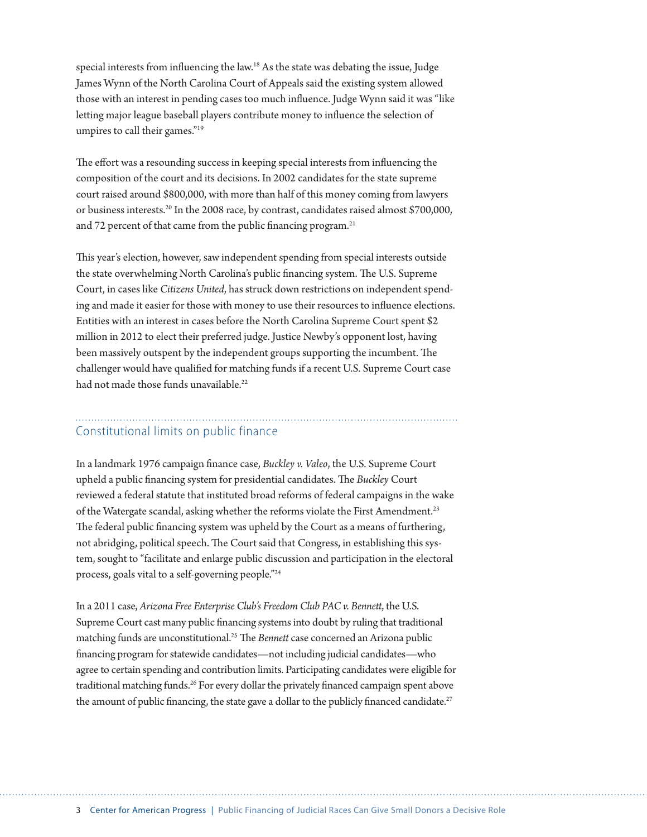special interests from influencing the law.18 As the state was debating the issue, Judge James Wynn of the North Carolina Court of Appeals said the existing system allowed those with an interest in pending cases too much influence. Judge Wynn said it was "like letting major league baseball players contribute money to influence the selection of umpires to call their games."19

The effort was a resounding success in keeping special interests from influencing the composition of the court and its decisions. In 2002 candidates for the state supreme court raised around \$800,000, with more than half of this money coming from lawyers or business interests.20 In the 2008 race, by contrast, candidates raised almost \$700,000, and 72 percent of that came from the public financing program.<sup>21</sup>

This year's election, however, saw independent spending from special interests outside the state overwhelming North Carolina's public financing system. The U.S. Supreme Court, in cases like *Citizens United*, has struck down restrictions on independent spending and made it easier for those with money to use their resources to influence elections. Entities with an interest in cases before the North Carolina Supreme Court spent \$2 million in 2012 to elect their preferred judge. Justice Newby's opponent lost, having been massively outspent by the independent groups supporting the incumbent. The challenger would have qualified for matching funds if a recent U.S. Supreme Court case had not made those funds unavailable.<sup>22</sup>

## Constitutional limits on public finance

In a landmark 1976 campaign finance case, *Buckley v. Valeo*, the U.S. Supreme Court upheld a public financing system for presidential candidates. The *Buckley* Court reviewed a federal statute that instituted broad reforms of federal campaigns in the wake of the Watergate scandal, asking whether the reforms violate the First Amendment.<sup>23</sup> The federal public financing system was upheld by the Court as a means of furthering, not abridging, political speech. The Court said that Congress, in establishing this system, sought to "facilitate and enlarge public discussion and participation in the electoral process, goals vital to a self-governing people."24

In a 2011 case, *Arizona Free Enterprise Club's Freedom Club PAC v. Bennett*, the U.S. Supreme Court cast many public financing systems into doubt by ruling that traditional matching funds are unconstitutional.25 The *Bennett* case concerned an Arizona public financing program for statewide candidates—not including judicial candidates—who agree to certain spending and contribution limits. Participating candidates were eligible for traditional matching funds.<sup>26</sup> For every dollar the privately financed campaign spent above the amount of public financing, the state gave a dollar to the publicly financed candidate.<sup>27</sup>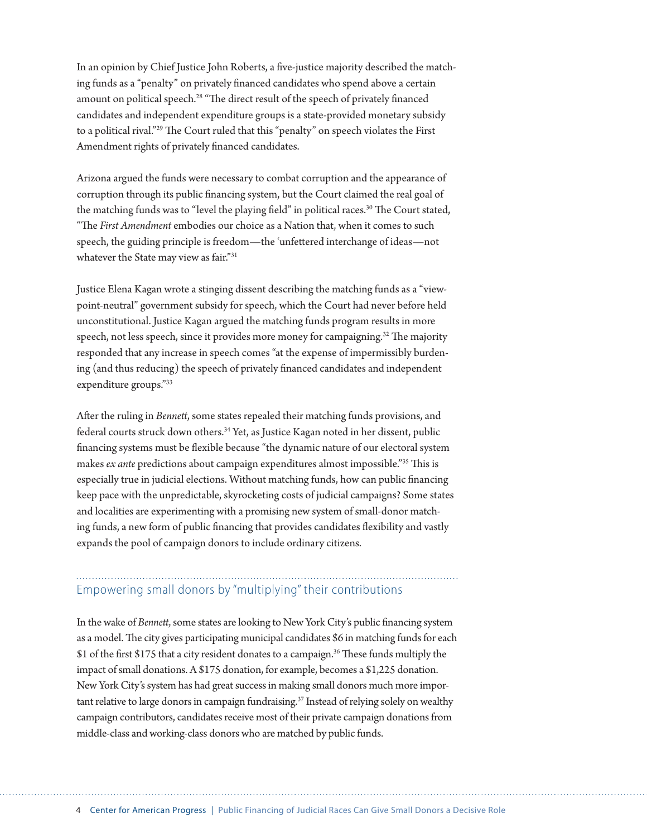In an opinion by Chief Justice John Roberts, a five-justice majority described the matching funds as a "penalty" on privately financed candidates who spend above a certain amount on political speech.<sup>28</sup> "The direct result of the speech of privately financed candidates and independent expenditure groups is a state-provided monetary subsidy to a political rival."29 The Court ruled that this "penalty" on speech violates the First Amendment rights of privately financed candidates.

Arizona argued the funds were necessary to combat corruption and the appearance of corruption through its public financing system, but the Court claimed the real goal of the matching funds was to "level the playing field" in political races.<sup>30</sup> The Court stated, "The *First Amendment* embodies our choice as a Nation that, when it comes to such speech, the guiding principle is freedom—the 'unfettered interchange of ideas—not whatever the State may view as fair."<sup>31</sup>

Justice Elena Kagan wrote a stinging dissent describing the matching funds as a "viewpoint-neutral" government subsidy for speech, which the Court had never before held unconstitutional. Justice Kagan argued the matching funds program results in more speech, not less speech, since it provides more money for campaigning.<sup>32</sup> The majority responded that any increase in speech comes "at the expense of impermissibly burdening (and thus reducing) the speech of privately financed candidates and independent expenditure groups."33

After the ruling in *Bennett*, some states repealed their matching funds provisions, and federal courts struck down others.<sup>34</sup> Yet, as Justice Kagan noted in her dissent, public financing systems must be flexible because "the dynamic nature of our electoral system makes *ex ante* predictions about campaign expenditures almost impossible."35 This is especially true in judicial elections. Without matching funds, how can public financing keep pace with the unpredictable, skyrocketing costs of judicial campaigns? Some states and localities are experimenting with a promising new system of small-donor matching funds, a new form of public financing that provides candidates flexibility and vastly expands the pool of campaign donors to include ordinary citizens.

## Empowering small donors by "multiplying" their contributions

In the wake of *Bennett*, some states are looking to New York City's public financing system as a model. The city gives participating municipal candidates \$6 in matching funds for each \$1 of the first \$175 that a city resident donates to a campaign.36 These funds multiply the impact of small donations. A \$175 donation, for example, becomes a \$1,225 donation. New York City's system has had great success in making small donors much more important relative to large donors in campaign fundraising.<sup>37</sup> Instead of relying solely on wealthy campaign contributors, candidates receive most of their private campaign donations from middle-class and working-class donors who are matched by public funds.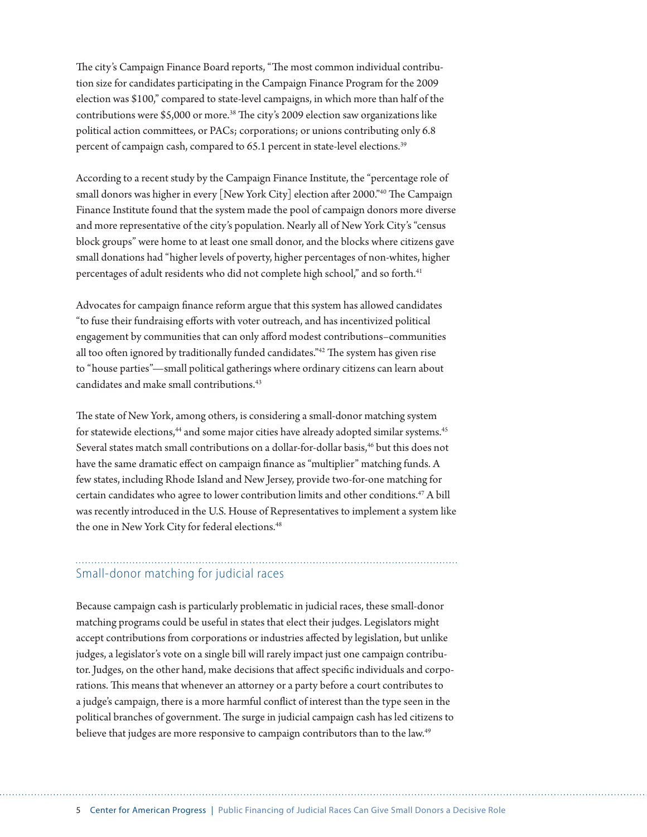The city's Campaign Finance Board reports, "The most common individual contribution size for candidates participating in the Campaign Finance Program for the 2009 election was \$100," compared to state-level campaigns, in which more than half of the contributions were \$5,000 or more.<sup>38</sup> The city's 2009 election saw organizations like political action committees, or PACs; corporations; or unions contributing only 6.8 percent of campaign cash, compared to 65.1 percent in state-level elections.<sup>39</sup>

According to a recent study by the Campaign Finance Institute, the "percentage role of small donors was higher in every [New York City] election after 2000."40 The Campaign Finance Institute found that the system made the pool of campaign donors more diverse and more representative of the city's population. Nearly all of New York City's "census block groups" were home to at least one small donor, and the blocks where citizens gave small donations had "higher levels of poverty, higher percentages of non-whites, higher percentages of adult residents who did not complete high school," and so forth.<sup>41</sup>

Advocates for campaign finance reform argue that this system has allowed candidates "to fuse their fundraising efforts with voter outreach, and has incentivized political engagement by communities that can only afford modest contributions–communities all too often ignored by traditionally funded candidates."42 The system has given rise to "house parties"—small political gatherings where ordinary citizens can learn about candidates and make small contributions.<sup>43</sup>

The state of New York, among others, is considering a small-donor matching system for statewide elections,<sup>44</sup> and some major cities have already adopted similar systems.<sup>45</sup> Several states match small contributions on a dollar-for-dollar basis,<sup>46</sup> but this does not have the same dramatic effect on campaign finance as "multiplier" matching funds. A few states, including Rhode Island and New Jersey, provide two-for-one matching for certain candidates who agree to lower contribution limits and other conditions.47 A bill was recently introduced in the U.S. House of Representatives to implement a system like the one in New York City for federal elections.<sup>48</sup>

### Small-donor matching for judicial races

Because campaign cash is particularly problematic in judicial races, these small-donor matching programs could be useful in states that elect their judges. Legislators might accept contributions from corporations or industries affected by legislation, but unlike judges, a legislator's vote on a single bill will rarely impact just one campaign contributor. Judges, on the other hand, make decisions that affect specific individuals and corporations. This means that whenever an attorney or a party before a court contributes to a judge's campaign, there is a more harmful conflict of interest than the type seen in the political branches of government. The surge in judicial campaign cash has led citizens to believe that judges are more responsive to campaign contributors than to the law.<sup>49</sup>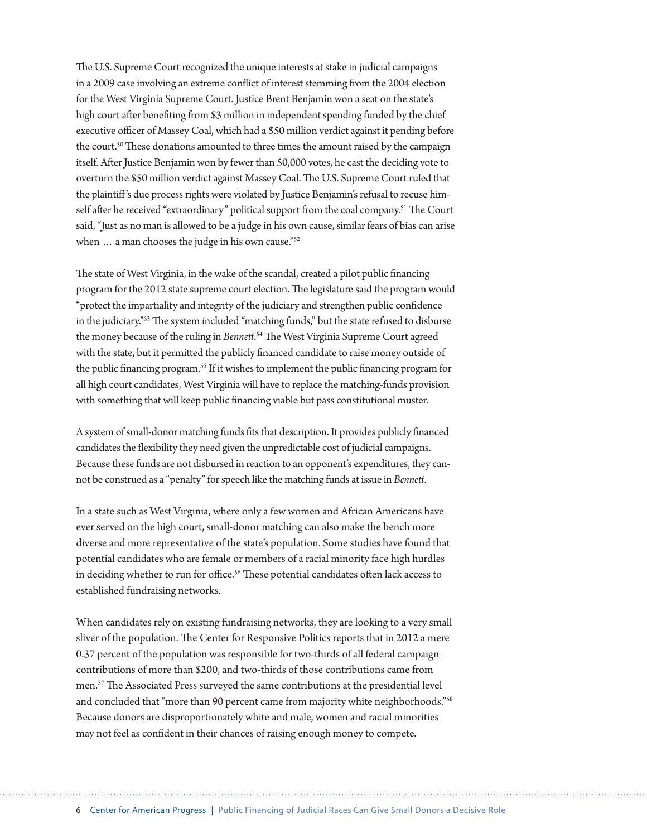The U.S. Supreme Court recognized the unique interests at stake in judicial campaigns in a 2009 case involving an extreme conflict of interest stemming from the 2004 election for the West Virginia Supreme Court. Justice Brent Benjamin won a seat on the state's high court after benefiting from \$3 million in independent spending funded by the chief executive officer of Massey Coal, which had a \$50 million verdict against it pending before the court.<sup>50</sup> These donations amounted to three times the amount raised by the campaign itself. After Justice Benjamin won by fewer than 50,000 votes, he cast the deciding vote to overturn the \$50 million verdict against Massey Coal. The U.S. Supreme Court ruled that the plaintiff 's due process rights were violated by Justice Benjamin's refusal to recuse himself after he received "extraordinary" political support from the coal company.<sup>51</sup> The Court said, "Just as no man is allowed to be a judge in his own cause, similar fears of bias can arise when ... a man chooses the judge in his own cause."<sup>52</sup>

The state of West Virginia, in the wake of the scandal, created a pilot public financing program for the 2012 state supreme court election. The legislature said the program would "protect the impartiality and integrity of the judiciary and strengthen public confidence in the judiciary."53 The system included "matching funds," but the state refused to disburse the money because of the ruling in *Bennett*. 54 The West Virginia Supreme Court agreed with the state, but it permitted the publicly financed candidate to raise money outside of the public financing program.55 If it wishes to implement the public financing program for all high court candidates, West Virginia will have to replace the matching-funds provision with something that will keep public financing viable but pass constitutional muster.

A system of small-donor matching funds fits that description. It provides publicly financed candidates the flexibility they need given the unpredictable cost of judicial campaigns. Because these funds are not disbursed in reaction to an opponent's expenditures, they cannot be construed as a "penalty" for speech like the matching funds at issue in *Bennett*.

In a state such as West Virginia, where only a few women and African Americans have ever served on the high court, small-donor matching can also make the bench more diverse and more representative of the state's population. Some studies have found that potential candidates who are female or members of a racial minority face high hurdles in deciding whether to run for office.<sup>56</sup> These potential candidates often lack access to established fundraising networks.

When candidates rely on existing fundraising networks, they are looking to a very small sliver of the population. The Center for Responsive Politics reports that in 2012 a mere 0.37 percent of the population was responsible for two-thirds of all federal campaign contributions of more than \$200, and two-thirds of those contributions came from men.57 The Associated Press surveyed the same contributions at the presidential level and concluded that "more than 90 percent came from majority white neighborhoods."<sup>58</sup> Because donors are disproportionately white and male, women and racial minorities may not feel as confident in their chances of raising enough money to compete.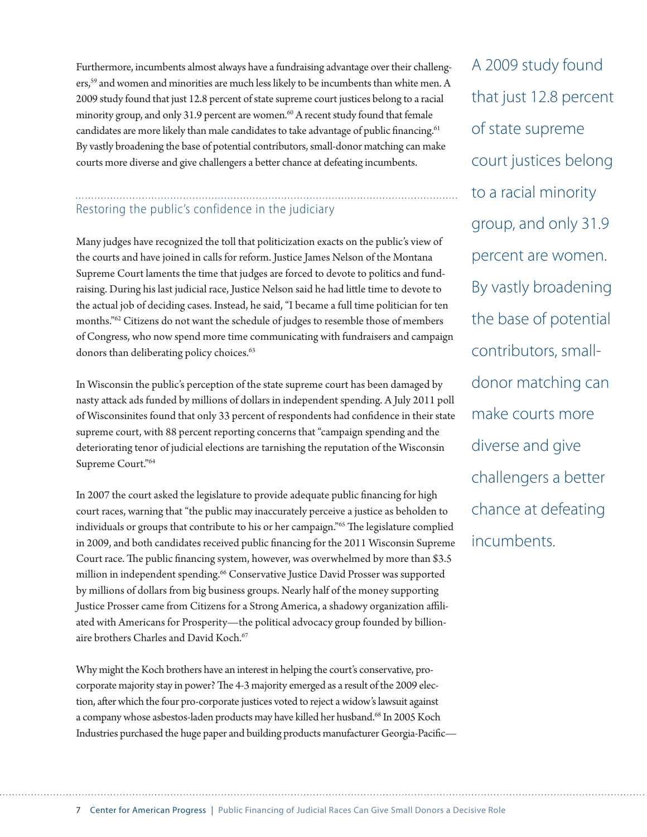Furthermore, incumbents almost always have a fundraising advantage over their challengers,<sup>59</sup> and women and minorities are much less likely to be incumbents than white men. A 2009 study found that just 12.8 percent of state supreme court justices belong to a racial minority group, and only 31.9 percent are women.<sup>60</sup> A recent study found that female candidates are more likely than male candidates to take advantage of public financing.<sup>61</sup> By vastly broadening the base of potential contributors, small-donor matching can make courts more diverse and give challengers a better chance at defeating incumbents.

### Restoring the public's confidence in the judiciary

Many judges have recognized the toll that politicization exacts on the public's view of the courts and have joined in calls for reform. Justice James Nelson of the Montana Supreme Court laments the time that judges are forced to devote to politics and fundraising. During his last judicial race, Justice Nelson said he had little time to devote to the actual job of deciding cases. Instead, he said, "I became a full time politician for ten months."62 Citizens do not want the schedule of judges to resemble those of members of Congress, who now spend more time communicating with fundraisers and campaign donors than deliberating policy choices.<sup>63</sup>

In Wisconsin the public's perception of the state supreme court has been damaged by nasty attack ads funded by millions of dollars in independent spending. A July 2011 poll of Wisconsinites found that only 33 percent of respondents had confidence in their state supreme court, with 88 percent reporting concerns that "campaign spending and the deteriorating tenor of judicial elections are tarnishing the reputation of the Wisconsin Supreme Court."64

In 2007 the court asked the legislature to provide adequate public financing for high court races, warning that "the public may inaccurately perceive a justice as beholden to individuals or groups that contribute to his or her campaign."65 The legislature complied in 2009, and both candidates received public financing for the 2011 Wisconsin Supreme Court race. The public financing system, however, was overwhelmed by more than \$3.5 million in independent spending.<sup>66</sup> Conservative Justice David Prosser was supported by millions of dollars from big business groups. Nearly half of the money supporting Justice Prosser came from Citizens for a Strong America, a shadowy organization affiliated with Americans for Prosperity—the political advocacy group founded by billionaire brothers Charles and David Koch.<sup>67</sup>

Why might the Koch brothers have an interest in helping the court's conservative, procorporate majority stay in power? The 4-3 majority emerged as a result of the 2009 election, after which the four pro-corporate justices voted to reject a widow's lawsuit against a company whose asbestos-laden products may have killed her husband.68 In 2005 Koch Industries purchased the huge paper and building products manufacturer Georgia-Pacific—

A 2009 study found that just 12.8 percent of state supreme court justices belong to a racial minority group, and only 31.9 percent are women. By vastly broadening the base of potential contributors, smalldonor matching can make courts more diverse and give challengers a better chance at defeating incumbents.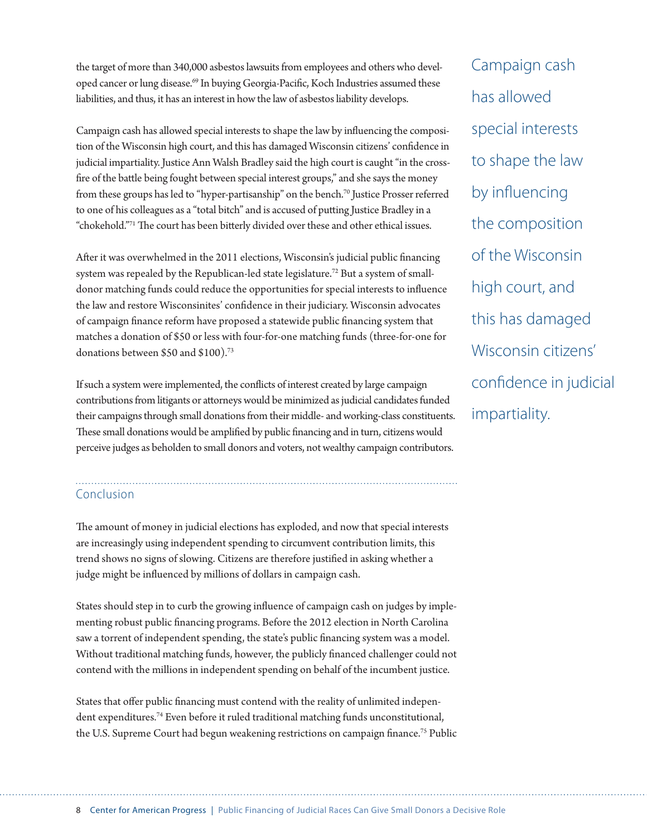the target of more than 340,000 asbestos lawsuits from employees and others who developed cancer or lung disease.<sup>69</sup> In buying Georgia-Pacific, Koch Industries assumed these liabilities, and thus, it has an interest in how the law of asbestos liability develops.

Campaign cash has allowed special interests to shape the law by influencing the composition of the Wisconsin high court, and this has damaged Wisconsin citizens' confidence in judicial impartiality. Justice Ann Walsh Bradley said the high court is caught "in the crossfire of the battle being fought between special interest groups," and she says the money from these groups has led to "hyper-partisanship" on the bench.<sup>70</sup> Justice Prosser referred to one of his colleagues as a "total bitch" and is accused of putting Justice Bradley in a "chokehold."71 The court has been bitterly divided over these and other ethical issues.

After it was overwhelmed in the 2011 elections, Wisconsin's judicial public financing system was repealed by the Republican-led state legislature.<sup>72</sup> But a system of smalldonor matching funds could reduce the opportunities for special interests to influence the law and restore Wisconsinites' confidence in their judiciary. Wisconsin advocates of campaign finance reform have proposed a statewide public financing system that matches a donation of \$50 or less with four-for-one matching funds (three-for-one for donations between \$50 and \$100).<sup>73</sup>

If such a system were implemented, the conflicts of interest created by large campaign contributions from litigants or attorneys would be minimized as judicial candidates funded their campaigns through small donations from their middle- and working-class constituents. These small donations would be amplified by public financing and in turn, citizens would perceive judges as beholden to small donors and voters, not wealthy campaign contributors.

### Conclusion

The amount of money in judicial elections has exploded, and now that special interests are increasingly using independent spending to circumvent contribution limits, this trend shows no signs of slowing. Citizens are therefore justified in asking whether a judge might be influenced by millions of dollars in campaign cash.

States should step in to curb the growing influence of campaign cash on judges by implementing robust public financing programs. Before the 2012 election in North Carolina saw a torrent of independent spending, the state's public financing system was a model. Without traditional matching funds, however, the publicly financed challenger could not contend with the millions in independent spending on behalf of the incumbent justice.

States that offer public financing must contend with the reality of unlimited independent expenditures.74 Even before it ruled traditional matching funds unconstitutional, the U.S. Supreme Court had begun weakening restrictions on campaign finance.<sup>75</sup> Public

Campaign cash has allowed special interests to shape the law by influencing the composition of the Wisconsin high court, and this has damaged Wisconsin citizens' confidence in judicial impartiality.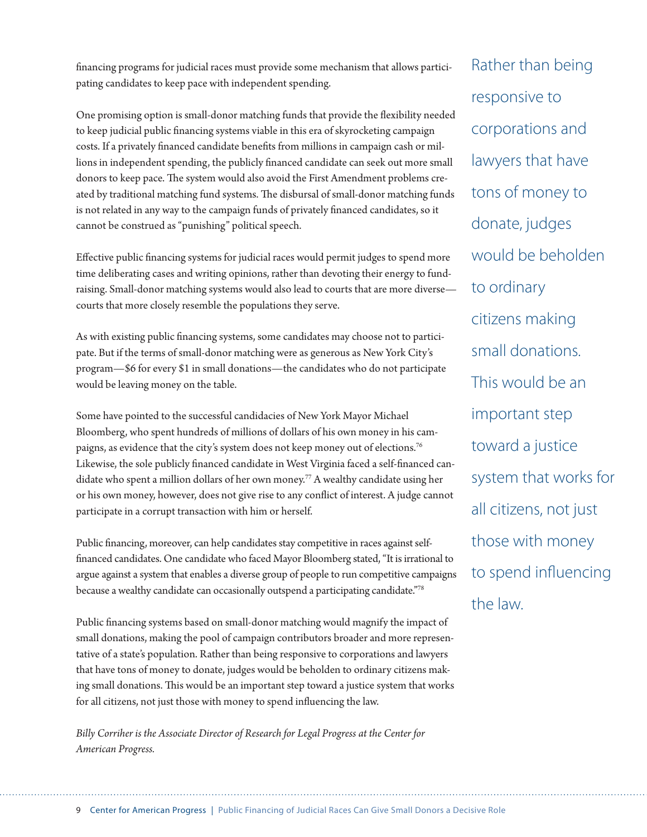financing programs for judicial races must provide some mechanism that allows participating candidates to keep pace with independent spending.

One promising option is small-donor matching funds that provide the flexibility needed to keep judicial public financing systems viable in this era of skyrocketing campaign costs. If a privately financed candidate benefits from millions in campaign cash or millions in independent spending, the publicly financed candidate can seek out more small donors to keep pace. The system would also avoid the First Amendment problems created by traditional matching fund systems. The disbursal of small-donor matching funds is not related in any way to the campaign funds of privately financed candidates, so it cannot be construed as "punishing" political speech.

Effective public financing systems for judicial races would permit judges to spend more time deliberating cases and writing opinions, rather than devoting their energy to fundraising. Small-donor matching systems would also lead to courts that are more diverse courts that more closely resemble the populations they serve.

As with existing public financing systems, some candidates may choose not to participate. But if the terms of small-donor matching were as generous as New York City's program—\$6 for every \$1 in small donations—the candidates who do not participate would be leaving money on the table.

Some have pointed to the successful candidacies of New York Mayor Michael Bloomberg, who spent hundreds of millions of dollars of his own money in his campaigns, as evidence that the city's system does not keep money out of elections.<sup>76</sup> Likewise, the sole publicly financed candidate in West Virginia faced a self-financed candidate who spent a million dollars of her own money.<sup>77</sup> A wealthy candidate using her or his own money, however, does not give rise to any conflict of interest. A judge cannot participate in a corrupt transaction with him or herself.

Public financing, moreover, can help candidates stay competitive in races against selffinanced candidates. One candidate who faced Mayor Bloomberg stated, "It is irrational to argue against a system that enables a diverse group of people to run competitive campaigns because a wealthy candidate can occasionally outspend a participating candidate."78

Public financing systems based on small-donor matching would magnify the impact of small donations, making the pool of campaign contributors broader and more representative of a state's population. Rather than being responsive to corporations and lawyers that have tons of money to donate, judges would be beholden to ordinary citizens making small donations. This would be an important step toward a justice system that works for all citizens, not just those with money to spend influencing the law.

*Billy Corriher is the Associate Director of Research for Legal Progress at the Center for American Progress.*

Rather than being responsive to corporations and lawyers that have tons of money to donate, judges would be beholden to ordinary citizens making small donations. This would be an important step toward a justice system that works for all citizens, not just those with money to spend influencing the law.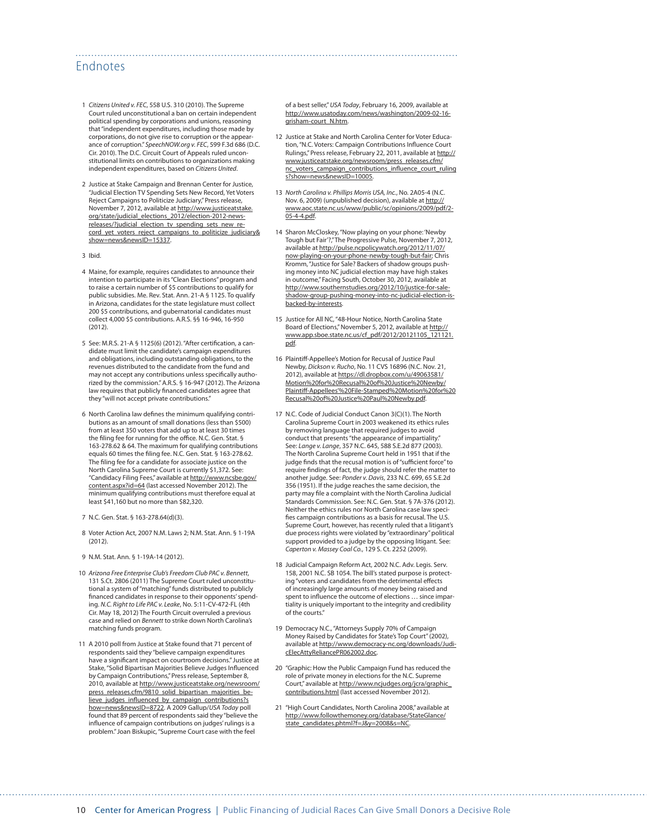#### Endnotes

- 1 *Citizens United v. FEC*, 558 U.S. 310 (2010). The Supreme Court ruled unconstitutional a ban on certain independent political spending by corporations and unions, reasoning that "independent expenditures, including those made by corporations, do not give rise to corruption or the appearance of corruption." *SpeechNOW.org v. FEC*, 599 F.3d 686 (D.C. Cir. 2010). The D.C. Circuit Court of Appeals ruled unconstitutional limits on contributions to organizations making independent expenditures, based on *Citizens United*.
- 2 Justice at Stake Campaign and Brennan Center for Justice, "Judicial Election TV Spending Sets New Record, Yet Voters Reject Campaigns to Politicize Judiciary," Press release, November 7, 2012, available at [http://www.justiceatstake.](http://www.justiceatstake.org/state/judicial_elections_2012/election-2012-news-releases/?judicial_election_tv_spending_sets_new_record_yet_voters_reject_campaigns_to_politicize_judiciary&show=news&newsID=15337) [org/state/judicial\\_elections\\_2012/election-2012-news](http://www.justiceatstake.org/state/judicial_elections_2012/election-2012-news-releases/?judicial_election_tv_spending_sets_new_record_yet_voters_reject_campaigns_to_politicize_judiciary&show=news&newsID=15337)[releases/?judicial\\_election\\_tv\\_spending\\_sets\\_new\\_re](http://www.justiceatstake.org/state/judicial_elections_2012/election-2012-news-releases/?judicial_election_tv_spending_sets_new_record_yet_voters_reject_campaigns_to_politicize_judiciary&show=news&newsID=15337)cord vet voters reject campaigns to politicize judiciary& [show=news&newsID=15337](http://www.justiceatstake.org/state/judicial_elections_2012/election-2012-news-releases/?judicial_election_tv_spending_sets_new_record_yet_voters_reject_campaigns_to_politicize_judiciary&show=news&newsID=15337).
- 3 Ibid.
- 4 Maine, for example, requires candidates to announce their intention to participate in its "Clean Elections" program and to raise a certain number of \$5 contributions to qualify for public subsidies. Me. Rev. Stat. Ann. 21-A § 1125. To qualify in Arizona, candidates for the state legislature must collect 200 \$5 contributions, and gubernatorial candidates must collect 4,000 \$5 contributions. A.R.S. §§ 16-946, 16-950 (2012).
- 5 See: M.R.S. 21-A § 1125(6) (2012). "After certification, a candidate must limit the candidate's campaign expenditures and obligations, including outstanding obligations, to the revenues distributed to the candidate from the fund and may not accept any contributions unless specifically authorized by the commission." A.R.S. § 16-947 (2012). The Arizona law requires that publicly financed candidates agree that they "will not accept private contributions."
- 6 North Carolina law defines the minimum qualifying contributions as an amount of small donations (less than \$500) from at least 350 voters that add up to at least 30 times the filing fee for running for the office. N.C. Gen. Stat. § 163-278.62 & 64. The maximum for qualifying contributions equals 60 times the filing fee. N.C. Gen. Stat. § 163-278.62. The filing fee for a candidate for associate justice on the North Carolina Supreme Court is currently \$1,372. See: "Candidacy Filing Fees," available at [http://www.ncsbe.gov/](http://www.ncsbe.gov/content.aspx?id=64) [content.aspx?id=64](http://www.ncsbe.gov/content.aspx?id=64) (last accessed November 2012). The minimum qualifying contributions must therefore equal at least \$41,160 but no more than \$82,320.
- 7 N.C. Gen. Stat. § 163-278.64(d)(3).
- 8 Voter Action Act, 2007 N.M. Laws 2; N.M. Stat. Ann. § 1-19A (2012).
- 9 N.M. Stat. Ann. § 1-19A-14 (2012).
- 10 *Arizona Free Enterprise Club's Freedom Club PAC v. Bennett*, 131 S.Ct. 2806 (2011) The Supreme Court ruled unconstitutional a system of "matching" funds distributed to publicly financed candidates in response to their opponents' spending. *N.C. Right to Life PAC v. Leake*, No. 5:11-CV-472-FL (4th Cir. May 18, 2012) The Fourth Circuit overruled a previous case and relied on *Bennett* to strike down North Carolina's matching funds program.
- 11 A 2010 poll from Justice at Stake found that 71 percent of respondents said they "believe campaign expenditures have a significant impact on courtroom decisions." Justice at Stake, "Solid Bipartisan Majorities Believe Judges Influenced by Campaign Contributions," Press release, September 8, 2010, available at [http://www.justiceatstake.org/newsroom/](http://www.justiceatstake.org/newsroom/press_releases.cfm/9810_solid_bipartisan_majorities_believe_judges_influenced_by_campaign_contributions?show=news&newsID=8722) [press\\_releases.cfm/9810\\_solid\\_bipartisan\\_majorities\\_be](http://www.justiceatstake.org/newsroom/press_releases.cfm/9810_solid_bipartisan_majorities_believe_judges_influenced_by_campaign_contributions?show=news&newsID=8722)[lieve\\_judges\\_influenced\\_by\\_campaign\\_contributions?s](http://www.justiceatstake.org/newsroom/press_releases.cfm/9810_solid_bipartisan_majorities_believe_judges_influenced_by_campaign_contributions?show=news&newsID=8722) [how=news&newsID=8722](http://www.justiceatstake.org/newsroom/press_releases.cfm/9810_solid_bipartisan_majorities_believe_judges_influenced_by_campaign_contributions?show=news&newsID=8722). A 2009 Gallup/*USA Today* poll found that 89 percent of respondents said they "believe the influence of campaign contributions on judges' rulings is a problem." Joan Biskupic, "Supreme Court case with the feel

of a best seller," *USA Today*, February 16, 2009, available at [http://www.usatoday.com/news/washington/2009-02-16](http://www.usatoday.com/news/washington/2009-02-16-grisham-court_N.htm) [grisham-court\\_N.htm.](http://www.usatoday.com/news/washington/2009-02-16-grisham-court_N.htm)

- 12 Justice at Stake and North Carolina Center for Voter Education, "N.C. Voters: Campaign Contributions Influence Court Rulings," Press release, February 22, 2011, available at [http://](http://www.justiceatstake.org/newsroom/press_releases.cfm/nc_voters_campaign_contributions_influence_court_rulings?show=news&newsID=10005) [www.justiceatstake.org/newsroom/press\\_releases.cfm/](http://www.justiceatstake.org/newsroom/press_releases.cfm/nc_voters_campaign_contributions_influence_court_rulings?show=news&newsID=10005) [nc\\_voters\\_campaign\\_contributions\\_influence\\_court\\_ruling](http://www.justiceatstake.org/newsroom/press_releases.cfm/nc_voters_campaign_contributions_influence_court_rulings?show=news&newsID=10005) [s?show=news&newsID=10005.](http://www.justiceatstake.org/newsroom/press_releases.cfm/nc_voters_campaign_contributions_influence_court_rulings?show=news&newsID=10005)
- 13 *North Carolina v. Phillips Morris USA, Inc.*, No. 2A05-4 (N.C. Nov. 6, 2009) (unpublished decision), available at [http://](http://www.aoc.state.nc.us/www/public/sc/opinions/2009/pdf/2-05-4-4.pdf) [www.aoc.state.nc.us/www/public/sc/opinions/2009/pdf/2-](http://www.aoc.state.nc.us/www/public/sc/opinions/2009/pdf/2-05-4-4.pdf) [05-4-4.pdf.](http://www.aoc.state.nc.us/www/public/sc/opinions/2009/pdf/2-05-4-4.pdf)
- 14 Sharon McCloskey, "Now playing on your phone: 'Newby Tough but Fair'?," The Progressive Pulse, November 7, 2012, available at [http://pulse.ncpolicywatch.org/2012/11/07/](http://pulse.ncpolicywatch.org/2012/11/07/now-playing-on-your-phone-newby-tough-but-fair/) [now-playing-on-your-phone-newby-tough-but-fair;](http://pulse.ncpolicywatch.org/2012/11/07/now-playing-on-your-phone-newby-tough-but-fair/) Chris Kromm, "Justice for Sale? Backers of shadow groups pushing money into NC judicial election may have high stakes in outcome," Facing South, October 30, 2012, available at [http://www.southernstudies.org/2012/10/justice-for-sale](http://www.southernstudies.org/2012/10/justice-for-sale-shadow-group-pushing-money-into-nc-judicial-election-is-backed-by-interests)[shadow-group-pushing-money-into-nc-judicial-election-is](http://www.southernstudies.org/2012/10/justice-for-sale-shadow-group-pushing-money-into-nc-judicial-election-is-backed-by-interests)[backed-by-interests.](http://www.southernstudies.org/2012/10/justice-for-sale-shadow-group-pushing-money-into-nc-judicial-election-is-backed-by-interests)
- 15 Justice for All NC, "48-Hour Notice, North Carolina State Board of Elections," November 5, 2012, available at [http://](http://www.app.sboe.state.nc.us/cf_pdf/2012/20121105_121121.pdf) [www.app.sboe.state.nc.us/cf\\_pdf/2012/20121105\\_121121.](http://www.app.sboe.state.nc.us/cf_pdf/2012/20121105_121121.pdf) [pdf](http://www.app.sboe.state.nc.us/cf_pdf/2012/20121105_121121.pdf).
- 16 Plaintiff-Appellee's Motion for Recusal of Justice Paul Newby, *Dickson v. Rucho*, No. 11 CVS 16896 (N.C. Nov. 21, 2012), available at [https://dl.dropbox.com/u/49063581/](https://dl.dropbox.com/u/49063581/Motion%20for%20Recusal%20of%20Justice%20Newby/Plaintiff-Appellees) [Motion%20for%20Recusal%20of%20Justice%20Newby/](https://dl.dropbox.com/u/49063581/Motion%20for%20Recusal%20of%20Justice%20Newby/Plaintiff-Appellees) [Plaintiff-Appellees'%20File-Stamped%20Motion%20for%20](https://dl.dropbox.com/u/49063581/Motion%20for%20Recusal%20of%20Justice%20Newby/Plaintiff-Appellees) [Recusal%20of%20Justice%20Paul%20Newby.pdf.](https://dl.dropbox.com/u/49063581/Motion%20for%20Recusal%20of%20Justice%20Newby/Plaintiff-Appellees)
- 17 N.C. Code of Judicial Conduct Canon 3(C)(1). The North Carolina Supreme Court in 2003 weakened its ethics rules by removing language that required judges to avoid conduct that presents "the appearance of impartiality." See: *Lange v. Lange*, 357 N.C. 645, 588 S.E.2d 877 (2003). The North Carolina Supreme Court held in 1951 that if the judge finds that the recusal motion is of "sufficient force" to require findings of fact, the judge should refer the matter to another judge. See: *Ponder v. Davis*, 233 N.C. 699, 65 S.E.2d 356 (1951). If the judge reaches the same decision, the party may file a complaint with the North Carolina Judicial Standards Commission. See: N.C. Gen. Stat. § 7A-376 (2012). Neither the ethics rules nor North Carolina case law specifies campaign contributions as a basis for recusal. The U.S. Supreme Court, however, has recently ruled that a litigant's due process rights were violated by "extraordinary" political support provided to a judge by the opposing litigant. See: *Caperton v. Massey Coal Co.*, 129 S. Ct. 2252 (2009).
- 18 Judicial Campaign Reform Act, 2002 N.C. Adv. Legis. Serv. 158, 2001 N.C. SB 1054. The bill's stated purpose is protecting "voters and candidates from the detrimental effects of increasingly large amounts of money being raised and spent to influence the outcome of elections … since impartiality is uniquely important to the integrity and credibility of the courts."
- 19 Democracy N.C., "Attorneys Supply 70% of Campaign Money Raised by Candidates for State's Top Court" (2002), available at [http://www.democracy-nc.org/downloads/Judi](http://www.democracy-nc.org/downloads/JudicElecAttyReliancePR062002.doc)[cElecAttyReliancePR062002.doc](http://www.democracy-nc.org/downloads/JudicElecAttyReliancePR062002.doc).
- 20 "Graphic: How the Public Campaign Fund has reduced the role of private money in elections for the N.C. Supreme Court," available at [http://www.ncjudges.org/jcra/graphic\\_](http://www.ncjudges.org/jcra/graphic_contributions.html) [contributions.html](http://www.ncjudges.org/jcra/graphic_contributions.html) (last accessed November 2012).
- 21 "High Court Candidates, North Carolina 2008," available at [http://www.followthemoney.org/database/StateGlance/](http://www.followthemoney.org/database/StateGlance/state_candidates.phtml?f=J&y=2008&s=NC) [state\\_candidates.phtml?f=J&y=2008&s=NC](http://www.followthemoney.org/database/StateGlance/state_candidates.phtml?f=J&y=2008&s=NC).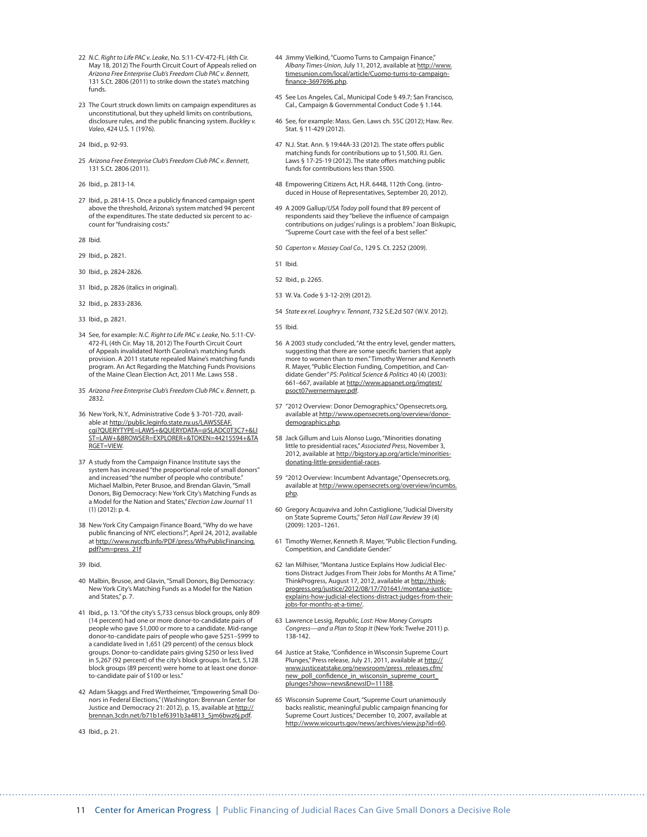- 22 *N.C. Right to Life PAC v. Leake*, No. 5:11-CV-472-FL (4th Cir. May 18, 2012) The Fourth Circuit Court of Appeals relied on *Arizona Free Enterprise Club's Freedom Club PAC v. Bennett*, 131 S.Ct. 2806 (2011) to strike down the state's matching funds.
- 23 The Court struck down limits on campaign expenditures as unconstitutional, but they upheld limits on contributions, disclosure rules, and the public financing system. *Buckley v. Valeo*, 424 U.S. 1 (1976).
- 24 Ibid., p. 92-93.
- 25 *Arizona Free Enterprise Club's Freedom Club PAC v. Bennett*, 131 S.Ct. 2806 (2011).
- 26 Ibid., p. 2813-14.
- 27 Ibid., p. 2814-15. Once a publicly financed campaign spent above the threshold, Arizona's system matched 94 percent of the expenditures. The state deducted six percent to account for "fundraising costs."
- 28 Ibid.
- 29 Ibid., p. 2821.
- 30 Ibid., p. 2824-2826.
- 31 Ibid., p. 2826 (italics in original).
- 32 Ibid., p. 2833-2836.
- 33 Ibid., p. 2821.
- 34 See, for example: *N.C. Right to Life PAC v. Leake*, No. 5:11-CV-472-FL (4th Cir. May 18, 2012) The Fourth Circuit Court of Appeals invalidated North Carolina's matching funds provision. A 2011 statute repealed Maine's matching funds program. An Act Regarding the Matching Funds Provisions of the Maine Clean Election Act, 2011 Me. Laws 558 .
- 35 *Arizona Free Enterprise Club's Freedom Club PAC v. Bennett*, p. 2832.
- 36 New York, N.Y., Administrative Code § 3-701-720, available at [http://public.leginfo.state.ny.us/LAWSSEAF.](http://public.leginfo.state.ny.us/LAWSSEAF.cgi?QUERYTYPE=LAWS+&QUERYDATA=@SLADC0T3C7+&LIST=LAW+&BROWSER=EXPLORER+&TOKEN=44215594+&TARGET=VIEW) [cgi?QUERYTYPE=LAWS+&QUERYDATA=@SLADC0T3C7+&LI](http://public.leginfo.state.ny.us/LAWSSEAF.cgi?QUERYTYPE=LAWS+&QUERYDATA=@SLADC0T3C7+&LIST=LAW+&BROWSER=EXPLORER+&TOKEN=44215594+&TARGET=VIEW) [ST=LAW+&BROWSER=EXPLORER+&TOKEN=44215594+&TA](http://public.leginfo.state.ny.us/LAWSSEAF.cgi?QUERYTYPE=LAWS+&QUERYDATA=@SLADC0T3C7+&LIST=LAW+&BROWSER=EXPLORER+&TOKEN=44215594+&TARGET=VIEW) [RGET=VIEW.](http://public.leginfo.state.ny.us/LAWSSEAF.cgi?QUERYTYPE=LAWS+&QUERYDATA=@SLADC0T3C7+&LIST=LAW+&BROWSER=EXPLORER+&TOKEN=44215594+&TARGET=VIEW)
- 37 A study from the Campaign Finance Institute says the system has increased "the proportional role of small donors" and increased "the number of people who contribute." Michael Malbin, Peter Brusoe, and Brendan Glavin, "Small Donors, Big Democracy: New York City's Matching Funds as a Model for the Nation and States," *Election Law Journal* 11 (1) (2012): p. 4.
- 38 New York City Campaign Finance Board, "Why do we have public financing of NYC elections?", April 24, 2012, available at [http://www.nyccfb.info/PDF/press/WhyPublicFinancing.](http://www.nyccfb.info/PDF/press/WhyPublicFinancing.pdf?sm=press_21f) [pdf?sm=press\\_21f](http://www.nyccfb.info/PDF/press/WhyPublicFinancing.pdf?sm=press_21f)
- 39 Ibid.
- 40 Malbin, Brusoe, and Glavin, "Small Donors, Big Democracy: New York City's Matching Funds as a Model for the Nation and States," p. 7.
- 41 Ibid., p. 13. "Of the city's 5,733 census block groups, only 809 (14 percent) had one or more donor-to-candidate pairs of people who gave \$1,000 or more to a candidate. Mid-range donor-to-candidate pairs of people who gave \$251–\$999 to a candidate lived in 1,651 (29 percent) of the census block groups. Donor-to-candidate pairs giving \$250 or less lived in 5,267 (92 percent) of the city's block groups. In fact, 5,128 block groups (89 percent) were home to at least one donorto-candidate pair of \$100 or less."
- 42 Adam Skaggs and Fred Wertheimer, "Empowering Small Donors in Federal Elections," (Washington: Brennan Center for Justice and Democracy 21: 2012), p. 15, available at [http://](http://brennan.3cdn.net/b71b1ef6391b3a4813_5jm6bwz6j.pdf) [brennan.3cdn.net/b71b1ef6391b3a4813\\_5jm6bwz6j.pdf](http://brennan.3cdn.net/b71b1ef6391b3a4813_5jm6bwz6j.pdf).
- 43 Ibid., p. 21.
- 44 Jimmy Vielkind, "Cuomo Turns to Campaign Finance," Albany Times-Union, July 11, 2012, available at [http://www.](http://www.timesunion.com/local/article/Cuomo-turns-to-campaign-finance-3697696.php) [timesunion.com/local/article/Cuomo-turns-to-campaign](http://www.timesunion.com/local/article/Cuomo-turns-to-campaign-finance-3697696.php)[finance-3697696.php.](http://www.timesunion.com/local/article/Cuomo-turns-to-campaign-finance-3697696.php)
- 45 See Los Angeles, Cal., Municipal Code § 49.7; San Francisco, Cal., Campaign & Governmental Conduct Code § 1.144.
- 46 See, for example: Mass. Gen. Laws ch. 55C (2012); Haw. Rev. Stat. § 11-429 (2012).
- 47 N.J. Stat. Ann. § 19:44A-33 (2012). The state offers public matching funds for contributions up to \$1,500. R.I. Gen. Laws § 17-25-19 (2012). The state offers matching public funds for contributions less than \$500.
- 48 Empowering Citizens Act, H.R. 6448, 112th Cong. (introduced in House of Representatives, September 20, 2012).
- 49 A 2009 Gallup/*USA Today* poll found that 89 percent of respondents said they "believe the influence of campaign contributions on judges' rulings is a problem." Joan Biskupic, "Supreme Court case with the feel of a best seller."
- 50 *Caperton v. Massey Coal Co.*, 129 S. Ct. 2252 (2009).
- 51 Ibid.
- 52 Ibid., p. 2265.
- 53 W. Va. Code § 3-12-2(9) (2012).
- 54 *State ex rel. Loughry v. Tennant*, 732 S.E.2d 507 (W.V. 2012).
- 55 Ibid.
- 56 A 2003 study concluded, "At the entry level, gender matters, suggesting that there are some specific barriers that apply more to women than to men." Timothy Werner and Kenneth R. Mayer, "Public Election Funding, Competition, and Candidate Gender" *PS: Political Science & Politics* 40 (4) (2003): 661–667, available at [http://www.apsanet.org/imgtest/](http://www.apsanet.org/imgtest/psoct07wernermayer.pdf) [psoct07wernermayer.pdf.](http://www.apsanet.org/imgtest/psoct07wernermayer.pdf)
- 57 "2012 Overview: Donor Demographics," Opensecrets.org, available at [http://www.opensecrets.org/overview/donor](http://www.opensecrets.org/overview/donordemographics.php)[demographics.php](http://www.opensecrets.org/overview/donordemographics.php).
- 58 Jack Gillum and Luis Alonso Lugo, "Minorities donating little to presidential races," *Associated Press*, November 3, 2012, available at [http://bigstory.ap.org/article/minorities](http://bigstory.ap.org/article/minorities-donating-little-presidential-races)[donating-little-presidential-races](http://bigstory.ap.org/article/minorities-donating-little-presidential-races).
- 59 "2012 Overview: Incumbent Advantage," Opensecrets.org, available at [http://www.opensecrets.org/overview/incumbs.](http://www.opensecrets.org/overview/incumbs.php) [php](http://www.opensecrets.org/overview/incumbs.php).
- 60 Gregory Acquaviva and John Castiglione, "Judicial Diversity on State Supreme Courts," *Seton Hall Law Review* 39 (4) (2009): 1203–1261.
- 61 Timothy Werner, Kenneth R. Mayer, "Public Election Funding, Competition, and Candidate Gender."
- 62 Ian Milhiser, "Montana Justice Explains How Judicial Elections Distract Judges From Their Jobs for Months At A Time," ThinkProgress, August 17, 2012, available at [http://think](http://thinkprogress.org/justice/2012/08/17/701641/montana-justice-explains-how-judicial-elections-distract-judges-from-their-jobs-for-months-at-a-time/)[progress.org/justice/2012/08/17/701641/montana-justice](http://thinkprogress.org/justice/2012/08/17/701641/montana-justice-explains-how-judicial-elections-distract-judges-from-their-jobs-for-months-at-a-time/)[explains-how-judicial-elections-distract-judges-from-their](http://thinkprogress.org/justice/2012/08/17/701641/montana-justice-explains-how-judicial-elections-distract-judges-from-their-jobs-for-months-at-a-time/)[jobs-for-months-at-a-time/.](http://thinkprogress.org/justice/2012/08/17/701641/montana-justice-explains-how-judicial-elections-distract-judges-from-their-jobs-for-months-at-a-time/)
- 63 Lawrence Lessig, *Republic, Lost: How Money Corrupts Congress—and a Plan to Stop It* (New York: Twelve 2011) p. 138-142.
- 64 Justice at Stake, "Confidence in Wisconsin Supreme Court Plunges," Press release, July 21, 2011, available at [http://](http://www.justiceatstake.org/newsroom/press_releases.cfm/new_poll_confidence_in_wisconsin_supreme_court_plunges?show=news&newsID=11188) [www.justiceatstake.org/newsroom/press\\_releases.cfm/](http://www.justiceatstake.org/newsroom/press_releases.cfm/new_poll_confidence_in_wisconsin_supreme_court_plunges?show=news&newsID=11188) [new\\_poll\\_confidence\\_in\\_wisconsin\\_supreme\\_court\\_](http://www.justiceatstake.org/newsroom/press_releases.cfm/new_poll_confidence_in_wisconsin_supreme_court_plunges?show=news&newsID=11188) [plunges?show=news&newsID=11188.](http://www.justiceatstake.org/newsroom/press_releases.cfm/new_poll_confidence_in_wisconsin_supreme_court_plunges?show=news&newsID=11188)
- 65 Wisconsin Supreme Court, "Supreme Court unanimously backs realistic, meaningful public campaign financing for Supreme Court Justices," December 10, 2007, available at <http://www.wicourts.gov/news/archives/view.jsp?id=60>.